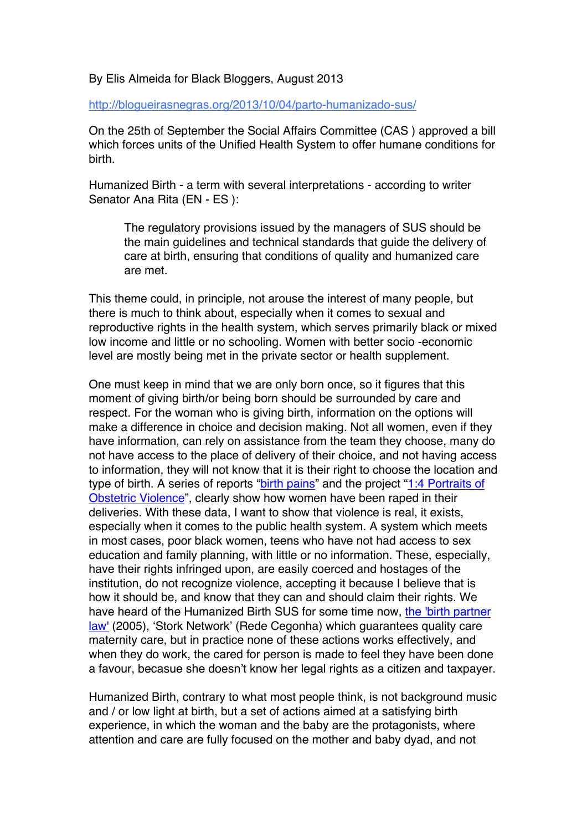## By Elis Almeida for Black Bloggers, August 2013

http://blogueirasnegras.org/2013/10/04/parto-humanizado-sus/

On the 25th of September the Social Affairs Committee (CAS ) approved a bill which forces units of the Unified Health System to offer humane conditions for birth.

Humanized Birth - a term with several interpretations - according to writer Senator Ana Rita (EN - ES ):

The regulatory provisions issued by the managers of SUS should be the main guidelines and technical standards that guide the delivery of care at birth, ensuring that conditions of quality and humanized care are met.

This theme could, in principle, not arouse the interest of many people, but there is much to think about, especially when it comes to sexual and reproductive rights in the health system, which serves primarily black or mixed low income and little or no schooling. Women with better socio -economic level are mostly being met in the private sector or health supplement.

One must keep in mind that we are only born once, so it figures that this moment of giving birth/or being born should be surrounded by care and respect. For the woman who is giving birth, information on the options will make a difference in choice and decision making. Not all women, even if they have information, can rely on assistance from the team they choose, many do not have access to the place of delivery of their choice, and not having access to information, they will not know that it is their right to choose the location and type of birth. A series of reports "birth pains" and the project "1:4 Portraits of Obstetric Violence", clearly show how women have been raped in their deliveries. With these data, I want to show that violence is real, it exists, especially when it comes to the public health system. A system which meets in most cases, poor black women, teens who have not had access to sex education and family planning, with little or no information. These, especially, have their rights infringed upon, are easily coerced and hostages of the institution, do not recognize violence, accepting it because I believe that is how it should be, and know that they can and should claim their rights. We have heard of the Humanized Birth SUS for some time now, the 'birth partner law' (2005), 'Stork Network' (Rede Cegonha) which guarantees quality care maternity care, but in practice none of these actions works effectively, and when they do work, the cared for person is made to feel they have been done a favour, becasue she doesn't know her legal rights as a citizen and taxpayer.

Humanized Birth, contrary to what most people think, is not background music and / or low light at birth, but a set of actions aimed at a satisfying birth experience, in which the woman and the baby are the protagonists, where attention and care are fully focused on the mother and baby dyad, and not